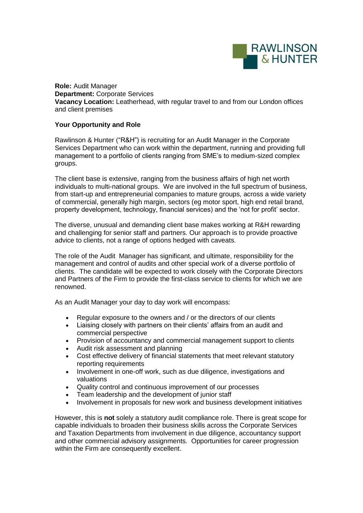

**Role:** Audit Manager **Department:** Corporate Services **Vacancy Location:** Leatherhead, with regular travel to and from our London offices and client premises

## **Your Opportunity and Role**

Rawlinson & Hunter ("R&H") is recruiting for an Audit Manager in the Corporate Services Department who can work within the department, running and providing full management to a portfolio of clients ranging from SME's to medium-sized complex groups.

The client base is extensive, ranging from the business affairs of high net worth individuals to multi-national groups. We are involved in the full spectrum of business, from start-up and entrepreneurial companies to mature groups, across a wide variety of commercial, generally high margin, sectors (eg motor sport, high end retail brand, property development, technology, financial services) and the 'not for profit' sector.

The diverse, unusual and demanding client base makes working at R&H rewarding and challenging for senior staff and partners. Our approach is to provide proactive advice to clients, not a range of options hedged with caveats.

The role of the Audit Manager has significant, and ultimate, responsibility for the management and control of audits and other special work of a diverse portfolio of clients. The candidate will be expected to work closely with the Corporate Directors and Partners of the Firm to provide the first-class service to clients for which we are renowned.

As an Audit Manager your day to day work will encompass:

- Regular exposure to the owners and / or the directors of our clients
- Liaising closely with partners on their clients' affairs from an audit and commercial perspective
- Provision of accountancy and commercial management support to clients
- Audit risk assessment and planning
- Cost effective delivery of financial statements that meet relevant statutory reporting requirements
- Involvement in one-off work, such as due diligence, investigations and valuations
- Quality control and continuous improvement of our processes
- Team leadership and the development of junior staff
- Involvement in proposals for new work and business development initiatives

However, this is **not** solely a statutory audit compliance role. There is great scope for capable individuals to broaden their business skills across the Corporate Services and Taxation Departments from involvement in due diligence, accountancy support and other commercial advisory assignments. Opportunities for career progression within the Firm are consequently excellent.